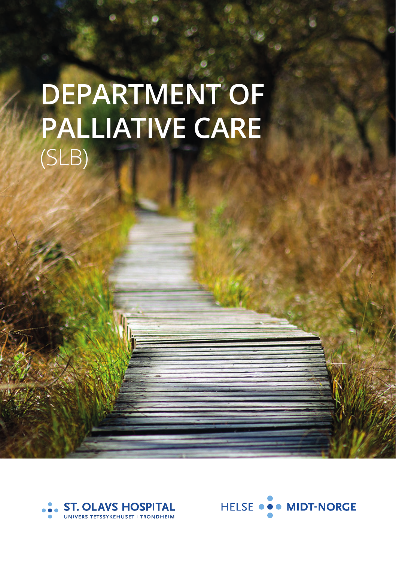# **DEPARTMENT OF PALLIATIVE CARE** (SLB)



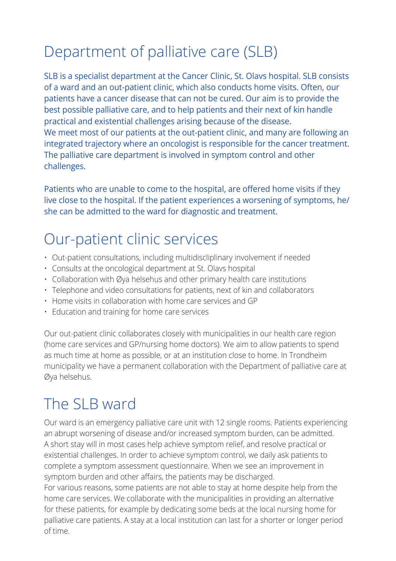## Department of palliative care (SLB)

SLB is a specialist department at the Cancer Clinic, St. Olavs hospital. SLB consists of a ward and an out-patient clinic, which also conducts home visits. Often, our patients have a cancer disease that can not be cured. Our aim is to provide the best possible palliative care, and to help patients and their next of kin handle practical and existential challenges arising because of the disease. We meet most of our patients at the out-patient clinic, and many are following an integrated trajectory where an oncologist is responsible for the cancer treatment. The palliative care department is involved in symptom control and other challenges.

Patients who are unable to come to the hospital, are offered home visits if they live close to the hospital. If the patient experiences a worsening of symptoms, he/ she can be admitted to the ward for diagnostic and treatment.

### Our-patient clinic services

- Out-patient consultations, including multidiscliplinary involvement if needed
- Consults at the oncological department at St. Olavs hospital
- Collaboration with Øya helsehus and other primary health care institutions
- Telephone and video consultations for patients, next of kin and collaborators
- Home visits in collaboration with home care services and GP
- Education and training for home care services

Our out-patient clinic collaborates closely with municipalities in our health care region (home care services and GP/nursing home doctors). We aim to allow patients to spend as much time at home as possible, or at an institution close to home. In Trondheim municipality we have a permanent collaboration with the Department of palliative care at Øya helsehus.

### The SLB ward

Our ward is an emergency palliative care unit with 12 single rooms. Patients experiencing an abrupt worsening of disease and/or increased symptom burden, can be admitted. A short stay will in most cases help achieve symptom relief, and resolve practical or existential challenges. In order to achieve symptom control, we daily ask patients to complete a symptom assessment questionnaire. When we see an improvement in symptom burden and other affairs, the patients may be discharged. For various reasons, some patients are not able to stay at home despite help from the home care services. We collaborate with the municipalities in providing an alternative for these patients, for example by dedicating some beds at the local nursing home for palliative care patients. A stay at a local institution can last for a shorter or longer period of time.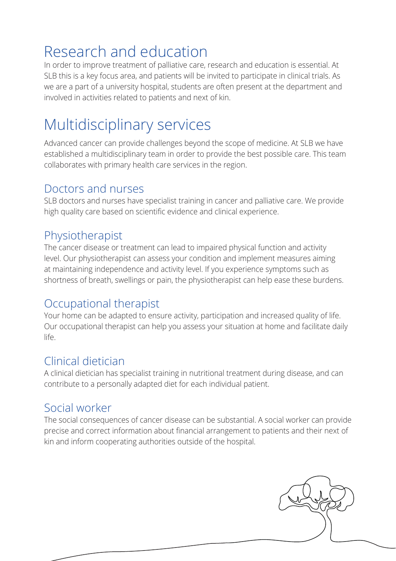### Research and education

In order to improve treatment of palliative care, research and education is essential. At SLB this is a key focus area, and patients will be invited to participate in clinical trials. As we are a part of a university hospital, students are often present at the department and involved in activities related to patients and next of kin.

### Multidisciplinary services

Advanced cancer can provide challenges beyond the scope of medicine. At SLB we have established a multidisciplinary team in order to provide the best possible care. This team collaborates with primary health care services in the region.

#### Doctors and nurses

SLB doctors and nurses have specialist training in cancer and palliative care. We provide high quality care based on scientific evidence and clinical experience.

#### Physiotherapist

The cancer disease or treatment can lead to impaired physical function and activity level. Our physiotherapist can assess your condition and implement measures aiming at maintaining independence and activity level. If you experience symptoms such as shortness of breath, swellings or pain, the physiotherapist can help ease these burdens.

### Occupational therapist

Your home can be adapted to ensure activity, participation and increased quality of life. Our occupational therapist can help you assess your situation at home and facilitate daily life.

### Clinical dietician

A clinical dietician has specialist training in nutritional treatment during disease, and can contribute to a personally adapted diet for each individual patient.

### Social worker

The social consequences of cancer disease can be substantial. A social worker can provide precise and correct information about financial arrangement to patients and their next of kin and inform cooperating authorities outside of the hospital.